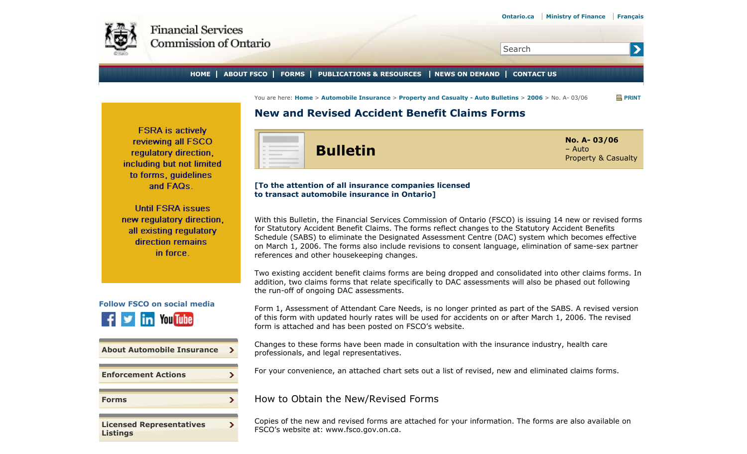<span id="page-0-0"></span>

 $\blacktriangleright$ 

Search

**HOME ABOUT FSCO FORMS PUBLICATIONS & RESOURCES NEWS ON DEMAND CONTACT US**

You are here: **Home** > **Automobile Insurance** > **Property and Casualty - Auto Bulletins** > **2006** > No. A- 03/06 **PRINT**

# **New and Revised Accident Benefit Claims Forms**

**FSRA** is actively reviewing all FSCO regulatory direction. including but not limited to forms, quidelines and FAQs.

**Until FSRA issues** new regulatory direction. all existing regulatory direction remains in force.



**[About Automobile Insurance](#page-0-0)**  $\rightarrow$  $\mathbf{v}$ **[Enforcement Actions](#page-0-0)**  $\mathbf{\Sigma}$ **[Forms](#page-0-0)**  $\sum$ 

**[Licensed Representatives](#page-0-0) [Listings](#page-0-0)**



## **[To the attention of all insurance companies licensed to transact automobile insurance in Ontario]**

With this Bulletin, the Financial Services Commission of Ontario (FSCO) is issuing 14 new or revised forms for Statutory Accident Benefit Claims. The forms reflect changes to the Statutory Accident Benefits Schedule (SABS) to eliminate the Designated Assessment Centre (DAC) system which becomes effective on March 1, 2006. The forms also include revisions to consent language, elimination of same-sex partner references and other housekeeping changes.

Two existing accident benefit claims forms are being dropped and consolidated into other claims forms. In addition, two claims forms that relate specifically to DAC assessments will also be phased out following the run-off of ongoing DAC assessments.

Form 1, Assessment of Attendant Care Needs, is no longer printed as part of the SABS. A revised version of this form with updated hourly rates will be used for accidents on or after March 1, 2006. The revised form is attached and has been posted on FSCO's website.

Changes to these forms have been made in consultation with the insurance industry, health care professionals, and legal representatives.

For your convenience, an attached chart sets out a list of revised, new and eliminated claims forms.

## How to Obtain the New/Revised Forms

Copies of the new and revised forms are attached for your information. The forms are also available on FSCO's website at: www.fsco.gov.on.ca.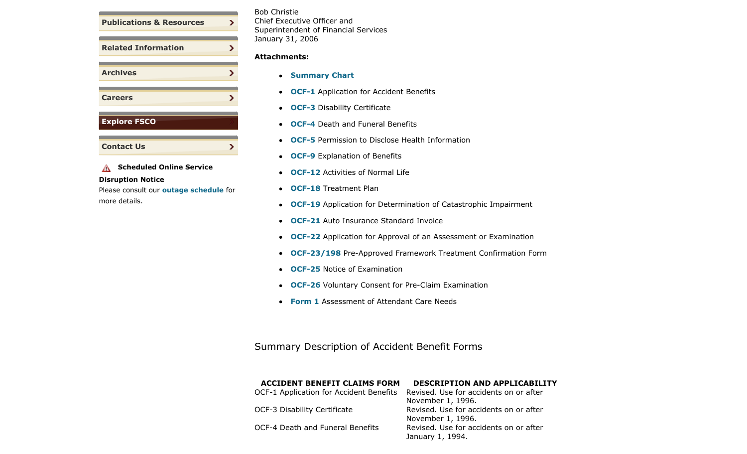

## **A** Scheduled Online Service

#### **Disruption Notice**

<span id="page-1-0"></span>Please consult our **outage schedule** for more details.

## Bob Christie Chief Executive Officer and Superintendent of Financial Services January 31, 2006

### **Attachments:**

- **[Summary Chart](#page-1-0)**
- **[OCF-1](#page-0-0)** Application for Accident Benefits
- **[OCF-3](#page-0-0)** Disability Certificate
- **[OCF-4](#page-0-0)** Death and Funeral Benefits
- **[OCF-5](#page-0-0)** Permission to Disclose Health Information
- **[OCF-9](#page-0-0)** Explanation of Benefits
- **[OCF-12](#page-0-0)** Activities of Normal Life
- **[OCF-18](#page-0-0)** Treatment Plan
- **[OCF-19](#page-0-0)** Application for Determination of Catastrophic Impairment
- **[OCF-21](#page-0-0)** Auto Insurance Standard Invoice
- **[OCF-22](#page-0-0)** Application for Approval of an Assessment or Examination
- **[OCF-23/198](#page-0-0)** Pre-Approved Framework Treatment Confirmation Form
- **[OCF-25](#page-0-0)** Notice of Examination
- **[OCF-26](#page-0-0)** Voluntary Consent for Pre-Claim Examination
- **[Form 1](#page-0-0)** Assessment of Attendant Care Needs

Summary Description of Accident Benefit Forms

## **ACCIDENT BENEFIT CLAIMS FORM DESCRIPTION AND APPLICABILITY**

| OCF-1 Application for Accident Benefits Revised. Use for accidents on or after |                                        |
|--------------------------------------------------------------------------------|----------------------------------------|
|                                                                                | November 1, 1996.                      |
| OCF-3 Disability Certificate                                                   | Revised. Use for accidents on or after |
|                                                                                | November 1, 1996.                      |
| OCF-4 Death and Funeral Benefits                                               | Revised. Use for accidents on or after |
|                                                                                | January 1, 1994.                       |